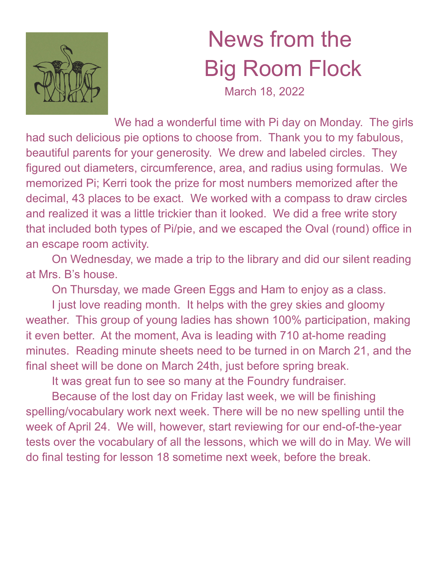

## News from the Big Room Flock

March 18, 2022

We had a wonderful time with Pi day on Monday. The girls had such delicious pie options to choose from. Thank you to my fabulous, beautiful parents for your generosity. We drew and labeled circles. They figured out diameters, circumference, area, and radius using formulas. We memorized Pi; Kerri took the prize for most numbers memorized after the decimal, 43 places to be exact. We worked with a compass to draw circles and realized it was a little trickier than it looked. We did a free write story that included both types of Pi/pie, and we escaped the Oval (round) office in an escape room activity.

On Wednesday, we made a trip to the library and did our silent reading at Mrs. B's house.

On Thursday, we made Green Eggs and Ham to enjoy as a class.

I just love reading month. It helps with the grey skies and gloomy weather. This group of young ladies has shown 100% participation, making it even better. At the moment, Ava is leading with 710 at-home reading minutes. Reading minute sheets need to be turned in on March 21, and the final sheet will be done on March 24th, just before spring break.

It was great fun to see so many at the Foundry fundraiser.

Because of the lost day on Friday last week, we will be finishing spelling/vocabulary work next week. There will be no new spelling until the week of April 24. We will, however, start reviewing for our end-of-the-year tests over the vocabulary of all the lessons, which we will do in May. We will do final testing for lesson 18 sometime next week, before the break.